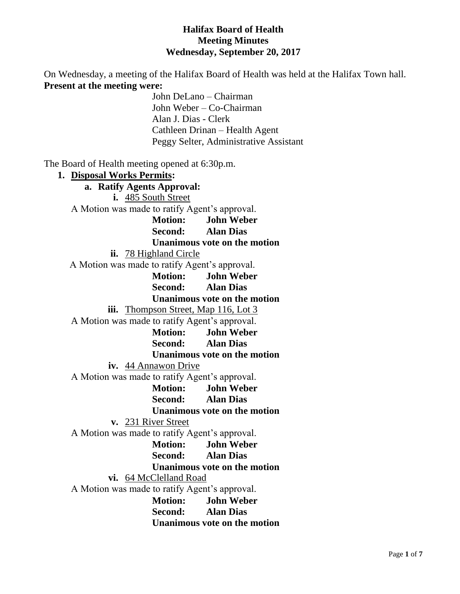### **Halifax Board of Health Meeting Minutes Wednesday, September 20, 2017**

On Wednesday, a meeting of the Halifax Board of Health was held at the Halifax Town hall. **Present at the meeting were:**

John DeLano – Chairman John Weber – Co-Chairman Alan J. Dias - Clerk Cathleen Drinan – Health Agent Peggy Selter, Administrative Assistant

The Board of Health meeting opened at 6:30p.m.

**1. Disposal Works Permits: a. Ratify Agents Approval: i.** 485 South Street A Motion was made to ratify Agent's approval. **Motion: John Weber Second: Alan Dias Unanimous vote on the motion ii.** 78 Highland Circle A Motion was made to ratify Agent's approval. **Motion: John Weber Second: Alan Dias Unanimous vote on the motion iii.** Thompson Street, Map 116, Lot 3 A Motion was made to ratify Agent's approval. **Motion: John Weber Second: Alan Dias Unanimous vote on the motion iv.** 44 Annawon Drive A Motion was made to ratify Agent's approval. **Motion: John Weber Second: Alan Dias Unanimous vote on the motion v.** 231 River Street A Motion was made to ratify Agent's approval. **Motion: John Weber Second: Alan Dias Unanimous vote on the motion vi.** 64 McClelland Road A Motion was made to ratify Agent's approval. **Motion: John Weber Second: Alan Dias Unanimous vote on the motion**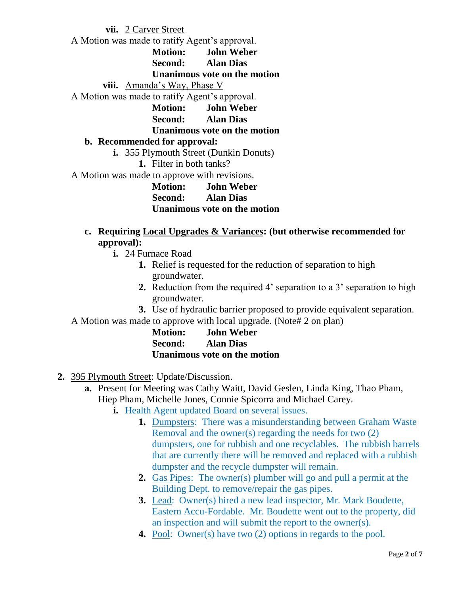**vii.** 2 Carver Street A Motion was made to ratify Agent's approval. **Motion: John Weber Second: Alan Dias Unanimous vote on the motion viii.** Amanda's Way, Phase V A Motion was made to ratify Agent's approval. **Motion: John Weber Second: Alan Dias Unanimous vote on the motion b. Recommended for approval: i.** 355 Plymouth Street (Dunkin Donuts) **1.** Filter in both tanks? A Motion was made to approve with revisions. **Motion: John Weber Second: Alan Dias Unanimous vote on the motion**

### **c. Requiring Local Upgrades & Variances: (but otherwise recommended for approval):**

- **i.** 24 Furnace Road
	- **1.** Relief is requested for the reduction of separation to high groundwater.
	- **2.** Reduction from the required 4' separation to a 3' separation to high groundwater.
	- **3.** Use of hydraulic barrier proposed to provide equivalent separation.

A Motion was made to approve with local upgrade. (Note# 2 on plan)

| <b>Motion:</b> | <b>John Weber</b>            |
|----------------|------------------------------|
| Second:        | <b>Alan Dias</b>             |
|                | Unanimous vote on the motion |

- **2.** 395 Plymouth Street: Update/Discussion.
	- **a.** Present for Meeting was Cathy Waitt, David Geslen, Linda King, Thao Pham, Hiep Pham, Michelle Jones, Connie Spicorra and Michael Carey.
		- **i.** Health Agent updated Board on several issues.
			- **1.** Dumpsters: There was a misunderstanding between Graham Waste Removal and the owner(s) regarding the needs for two (2) dumpsters, one for rubbish and one recyclables. The rubbish barrels that are currently there will be removed and replaced with a rubbish dumpster and the recycle dumpster will remain.
			- **2.** Gas Pipes: The owner(s) plumber will go and pull a permit at the Building Dept. to remove/repair the gas pipes.
			- **3.** Lead: Owner(s) hired a new lead inspector, Mr. Mark Boudette, Eastern Accu-Fordable. Mr. Boudette went out to the property, did an inspection and will submit the report to the owner(s).
			- **4.** Pool: Owner(s) have two (2) options in regards to the pool.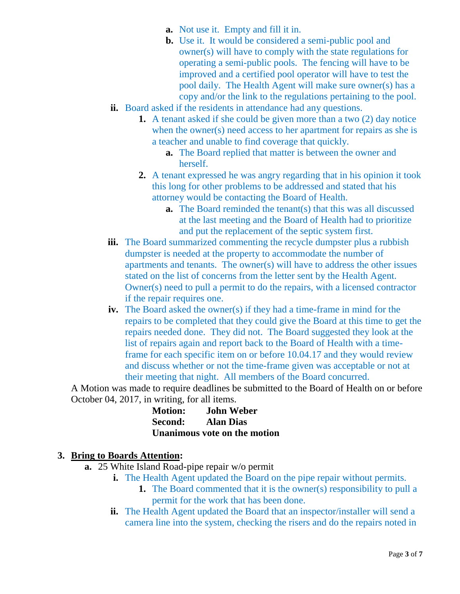- **a.** Not use it. Empty and fill it in.
- **b.** Use it. It would be considered a semi-public pool and owner(s) will have to comply with the state regulations for operating a semi-public pools. The fencing will have to be improved and a certified pool operator will have to test the pool daily. The Health Agent will make sure owner(s) has a copy and/or the link to the regulations pertaining to the pool.
- **ii.** Board asked if the residents in attendance had any questions.
	- **1.** A tenant asked if she could be given more than a two (2) day notice when the owner(s) need access to her apartment for repairs as she is a teacher and unable to find coverage that quickly.
		- **a.** The Board replied that matter is between the owner and herself.
	- **2.** A tenant expressed he was angry regarding that in his opinion it took this long for other problems to be addressed and stated that his attorney would be contacting the Board of Health.
		- **a.** The Board reminded the tenant(s) that this was all discussed at the last meeting and the Board of Health had to prioritize and put the replacement of the septic system first.
- **iii.** The Board summarized commenting the recycle dumpster plus a rubbish dumpster is needed at the property to accommodate the number of apartments and tenants. The owner(s) will have to address the other issues stated on the list of concerns from the letter sent by the Health Agent. Owner(s) need to pull a permit to do the repairs, with a licensed contractor if the repair requires one.
- **iv.** The Board asked the owner(s) if they had a time-frame in mind for the repairs to be completed that they could give the Board at this time to get the repairs needed done. They did not. The Board suggested they look at the list of repairs again and report back to the Board of Health with a timeframe for each specific item on or before 10.04.17 and they would review and discuss whether or not the time-frame given was acceptable or not at their meeting that night. All members of the Board concurred.

A Motion was made to require deadlines be submitted to the Board of Health on or before October 04, 2017, in writing, for all items.

| <b>Motion:</b> | <b>John Weber</b>            |
|----------------|------------------------------|
| Second:        | <b>Alan Dias</b>             |
|                | Unanimous vote on the motion |

### **3. Bring to Boards Attention:**

- **a.** 25 White Island Road-pipe repair w/o permit
	- **i.** The Health Agent updated the Board on the pipe repair without permits.
		- **1.** The Board commented that it is the owner(s) responsibility to pull a permit for the work that has been done.
	- **ii.** The Health Agent updated the Board that an inspector/installer will send a camera line into the system, checking the risers and do the repairs noted in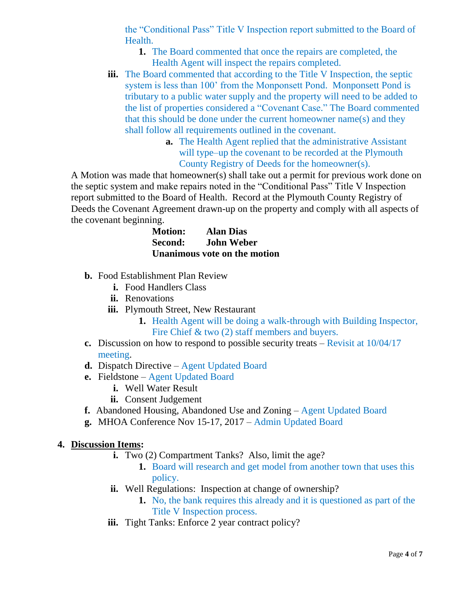the "Conditional Pass" Title V Inspection report submitted to the Board of Health.

- **1.** The Board commented that once the repairs are completed, the Health Agent will inspect the repairs completed.
- **iii.** The Board commented that according to the Title V Inspection, the septic system is less than 100' from the Monponsett Pond. Monponsett Pond is tributary to a public water supply and the property will need to be added to the list of properties considered a "Covenant Case." The Board commented that this should be done under the current homeowner name(s) and they shall follow all requirements outlined in the covenant.
	- **a.** The Health Agent replied that the administrative Assistant will type–up the covenant to be recorded at the Plymouth County Registry of Deeds for the homeowner(s).

A Motion was made that homeowner(s) shall take out a permit for previous work done on the septic system and make repairs noted in the "Conditional Pass" Title V Inspection report submitted to the Board of Health. Record at the Plymouth County Registry of Deeds the Covenant Agreement drawn-up on the property and comply with all aspects of the covenant beginning.

| <b>Motion:</b> | <b>Alan Dias</b>             |
|----------------|------------------------------|
| Second:        | <b>John Weber</b>            |
|                | Unanimous vote on the motion |

- **b.** Food Establishment Plan Review
	- **i.** Food Handlers Class
	- **ii.** Renovations
	- **iii.** Plymouth Street, New Restaurant
		- **1.** Health Agent will be doing a walk-through with Building Inspector, Fire Chief & two (2) staff members and buyers.
- **c.** Discussion on how to respond to possible security treats Revisit at 10/04/17 meeting.
- **d.** Dispatch Directive Agent Updated Board
- **e.** Fieldstone Agent Updated Board
	- **i.** Well Water Result
	- **ii.** Consent Judgement
- **f.** Abandoned Housing, Abandoned Use and Zoning Agent Updated Board
- **g.** MHOA Conference Nov 15-17, 2017 Admin Updated Board

### **4. Discussion Items:**

- **i.** Two (2) Compartment Tanks? Also, limit the age?
	- **1.** Board will research and get model from another town that uses this policy.
- **ii.** Well Regulations: Inspection at change of ownership?
	- **1.** No, the bank requires this already and it is questioned as part of the Title V Inspection process.
- iii. Tight Tanks: Enforce 2 year contract policy?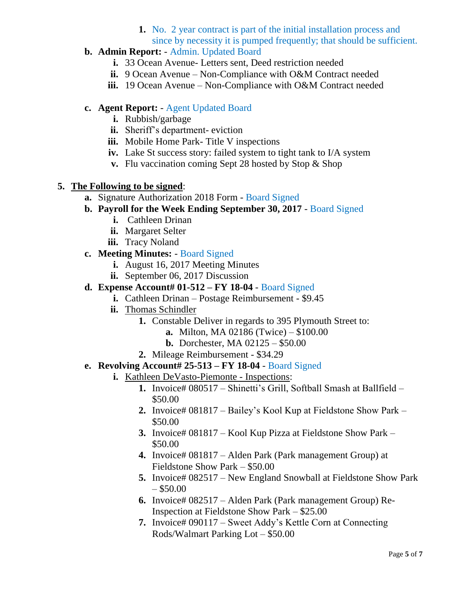**1.** No. 2 year contract is part of the initial installation process and since by necessity it is pumped frequently; that should be sufficient.

# **b. Admin Report:** - Admin. Updated Board

- **i.** 33 Ocean Avenue- Letters sent, Deed restriction needed
- **ii.** 9 Ocean Avenue Non-Compliance with O&M Contract needed
- **iii.** 19 Ocean Avenue Non-Compliance with O&M Contract needed

## **c. Agent Report:** - Agent Updated Board

- **i.** Rubbish/garbage
- **ii.** Sheriff's department- eviction
- **iii.** Mobile Home Park- Title V inspections
- **iv.** Lake St success story: failed system to tight tank to I/A system
- **v.** Flu vaccination coming Sept 28 hosted by Stop & Shop

### **5. The Following to be signed**:

- **a.** Signature Authorization 2018 Form Board Signed
- **b. Payroll for the Week Ending September 30, 2017** Board Signed
	- **i.** Cathleen Drinan
	- **ii.** Margaret Selter
	- **iii.** Tracy Noland

# **c. Meeting Minutes:** - Board Signed

- **i.** August 16, 2017 Meeting Minutes
- **ii.** September 06, 2017 Discussion
- **d. Expense Account# 01-512 – FY 18-04** Board Signed
	- **i.** Cathleen Drinan Postage Reimbursement \$9.45
	- **ii.** Thomas Schindler
		- **1.** Constable Deliver in regards to 395 Plymouth Street to:
			- **a.** Milton, MA 02186 (Twice) \$100.00
			- **b.** Dorchester, MA 02125 \$50.00
		- **2.** Mileage Reimbursement \$34.29

# **e. Revolving Account# 25-513 – FY 18-04** - Board Signed

- **i.** Kathleen DeVasto-Piemonte Inspections:
	- **1.** Invoice# 080517 Shinetti's Grill, Softball Smash at Ballfield \$50.00
	- **2.** Invoice# 081817 Bailey's Kool Kup at Fieldstone Show Park \$50.00
	- **3.** Invoice# 081817 Kool Kup Pizza at Fieldstone Show Park \$50.00
	- **4.** Invoice# 081817 Alden Park (Park management Group) at Fieldstone Show Park – \$50.00
	- **5.** Invoice# 082517 New England Snowball at Fieldstone Show Park  $-$  \$50.00
	- **6.** Invoice# 082517 Alden Park (Park management Group) Re-Inspection at Fieldstone Show Park – \$25.00
	- **7.** Invoice# 090117 Sweet Addy's Kettle Corn at Connecting Rods/Walmart Parking Lot – \$50.00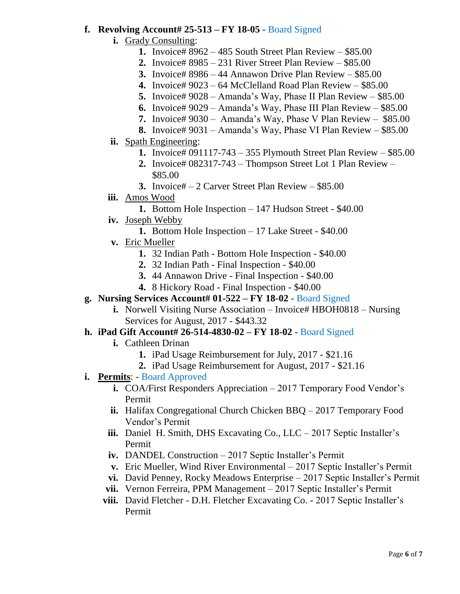## **f. Revolving Account# 25-513 – FY 18-05** - Board Signed

- **i.** Grady Consulting:
	- **1.** Invoice# 8962 485 South Street Plan Review \$85.00
	- **2.** Invoice# 8985 231 River Street Plan Review \$85.00
	- **3.** Invoice# 8986 44 Annawon Drive Plan Review \$85.00
	- **4.** Invoice# 9023 64 McClelland Road Plan Review \$85.00
	- **5.** Invoice# 9028 Amanda's Way, Phase II Plan Review \$85.00
	- **6.** Invoice# 9029 Amanda's Way, Phase III Plan Review \$85.00
	- **7.** Invoice# 9030 Amanda's Way, Phase V Plan Review \$85.00
	- **8.** Invoice# 9031 Amanda's Way, Phase VI Plan Review \$85.00
- **ii.** Spath Engineering:
	- **1.** Invoice# 091117-743 355 Plymouth Street Plan Review \$85.00
	- **2.** Invoice# 082317-743 Thompson Street Lot 1 Plan Review \$85.00
	- **3.** Invoice# 2 Carver Street Plan Review \$85.00
- **iii.** Amos Wood
	- **1.** Bottom Hole Inspection 147 Hudson Street \$40.00
- **iv.** Joseph Webby
	- **1.** Bottom Hole Inspection 17 Lake Street \$40.00
- **v.** Eric Mueller
	- **1.** 32 Indian Path Bottom Hole Inspection \$40.00
	- **2.** 32 Indian Path Final Inspection \$40.00
	- **3.** 44 Annawon Drive Final Inspection \$40.00
	- **4.** 8 Hickory Road Final Inspection \$40.00
- **g. Nursing Services Account# 01-522 – FY 18-02** Board Signed
	- **i.** Norwell Visiting Nurse Association Invoice# HBOH0818 Nursing Services for August, 2017 - \$443.32
- **h. iPad Gift Account# 26-514-4830-02 – FY 18-02** Board Signed
	- **i.** Cathleen Drinan
		- **1.** iPad Usage Reimbursement for July, 2017 \$21.16
		- **2.** iPad Usage Reimbursement for August, 2017 \$21.16
- **i. Permits**: Board Approved
	- **i.** COA/First Responders Appreciation 2017 Temporary Food Vendor's Permit
	- **ii.** Halifax Congregational Church Chicken BBQ 2017 Temporary Food Vendor's Permit
	- **iii.** Daniel H. Smith, DHS Excavating Co., LLC 2017 Septic Installer's Permit
	- **iv.** DANDEL Construction 2017 Septic Installer's Permit
	- **v.** Eric Mueller, Wind River Environmental 2017 Septic Installer's Permit
	- **vi.** David Penney, Rocky Meadows Enterprise 2017 Septic Installer's Permit
	- **vii.** Vernon Ferreira, PPM Management 2017 Septic Installer's Permit
	- **viii.** David Fletcher D.H. Fletcher Excavating Co. 2017 Septic Installer's Permit